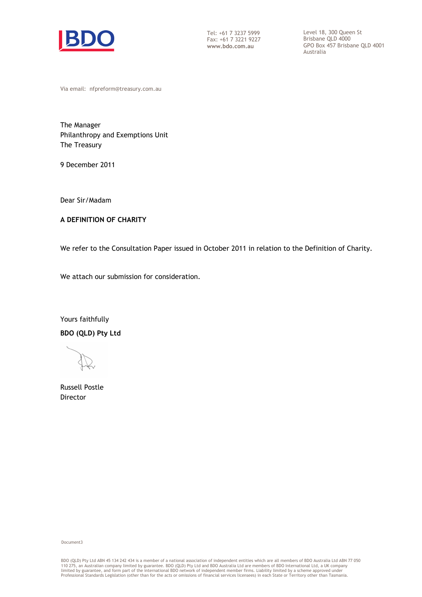

Tel: +61 7 3237 5999 Fax: +61 7 3221 9227 Brisbane QLD 4000

 Tel: +61 7 3237 5999 Level 18, 300 Queen St Brisbane QLD 4000 **www.bdo.com.au** GPO Box 457 Brisbane QLD 4001 Australia

Via email: nfpreform@treasury.com.au

 The Manager Philanthropy and Exemptions Unit The Treasury

9 December 2011

Dear Sir/Madam

## **A DEFINITION OF CHARITY**

We refer to the Consultation Paper issued in October 2011 in relation to the Definition of Charity.

We attach our submission for consideration.

 **BDO (QLD) Pty Ltd** Yours faithfully

 Russell Postle Director

#### Document3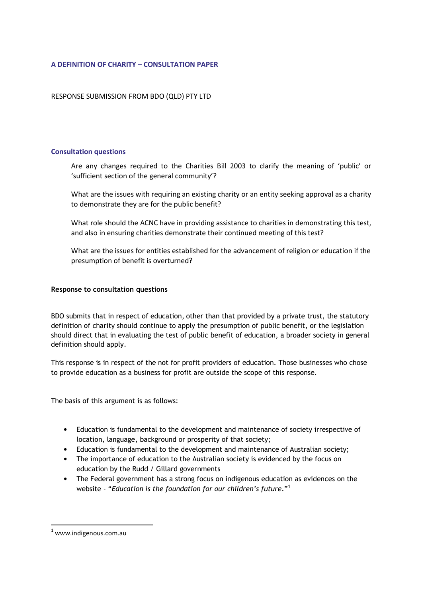## **A DEFINITION OF CHARITY – CONSULTATION PAPER**

RESPONSE SUBMISSION FROM BDO (QLD) PTY LTD

## **Consultation questions**

 Are any changes required to the Charities Bill 2003 to clarify the meaning of 'public' or 'sufficient section of the general community'?

 What are the issues with requiring an existing charity or an entity seeking approval as a charity to demonstrate they are for the public benefit?

 What role should the ACNC have in providing assistance to charities in demonstrating this test, and also in ensuring charities demonstrate their continued meeting of this test?

 What are the issues for entities established for the advancement of religion or education if the presumption of benefit is overturned?

### **Response to consultation questions**

 BDO submits that in respect of education, other than that provided by a private trust, the statutory definition of charity should continue to apply the presumption of public benefit, or the legislation should direct that in evaluating the test of public benefit of education, a broader society in general definition should apply.

 This response is in respect of the not for profit providers of education. Those businesses who chose to provide education as a business for profit are outside the scope of this response.

The basis of this argument is as follows:

- Education is fundamental to the development and maintenance of society irrespective of location, language, background or prosperity of that society;
- Education is fundamental to the development and maintenance of Australian society;
- The importance of education to the Australian society is evidenced by the focus on education by the Rudd / Gillard governments
- The Federal government has a strong focus on indigenous education as evidences on the  website "*Education is the foundation for our children's future*."<sup>1</sup>

l

 $1$  www.indigenous.com.au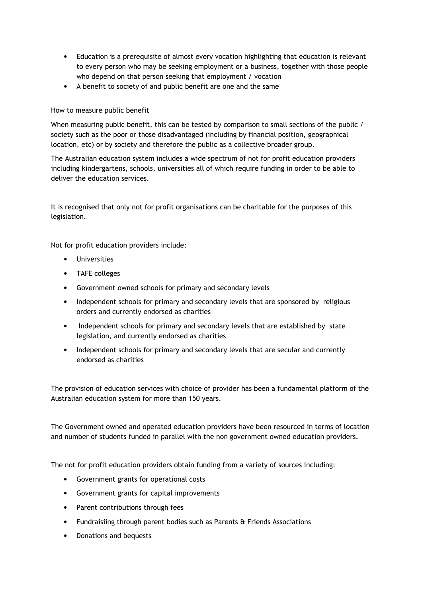- Education is a prerequisite of almost every vocation highlighting that education is relevant to every person who may be seeking employment or a business, together with those people who depend on that person seeking that employment / vocation
- • A benefit to society of and public benefit are one and the same

# How to measure public benefit

 When measuring public benefit, this can be tested by comparison to small sections of the public / society such as the poor or those disadvantaged (including by financial position, geographical location, etc) or by society and therefore the public as a collective broader group.

 The Australian education system includes a wide spectrum of not for profit education providers including kindergartens, schools, universities all of which require funding in order to be able to deliver the education services.

 It is recognised that only not for profit organisations can be charitable for the purposes of this legislation.

Not for profit education providers include:

- • Universities
- • TAFE colleges
- • Government owned schools for primary and secondary levels
- Independent schools for primary and secondary levels that are sponsored by religious orders and currently endorsed as charities
- Independent schools for primary and secondary levels that are established by state legislation, and currently endorsed as charities
- Independent schools for primary and secondary levels that are secular and currently endorsed as charities

 The provision of education services with choice of provider has been a fundamental platform of the Australian education system for more than 150 years.

 The Government owned and operated education providers have been resourced in terms of location and number of students funded in parallel with the non government owned education providers.

The not for profit education providers obtain funding from a variety of sources including:

- • Government grants for operational costs
- • Government grants for capital improvements
- • Parent contributions through fees
- Fundraisiing through parent bodies such as Parents & Friends Associations
- • Donations and bequests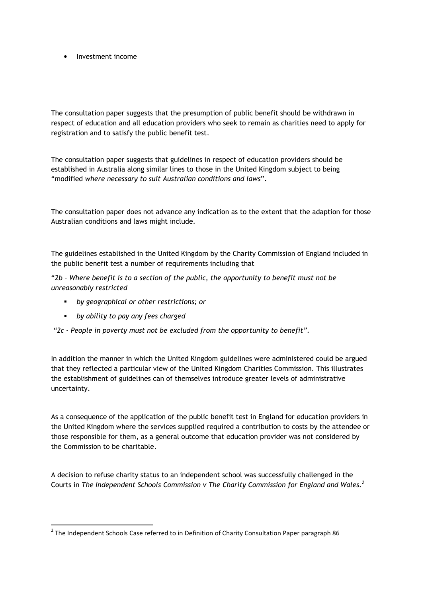• Investment income

 The consultation paper suggests that the presumption of public benefit should be withdrawn in respect of education and all education providers who seek to remain as charities need to apply for registration and to satisfy the public benefit test.

 The consultation paper suggests that guidelines in respect of education providers should be established in Australia along similar lines to those in the United Kingdom subject to being  "modified *where necessary to suit Australian conditions and laws*".

 The consultation paper does not advance any indication as to the extent that the adaption for those Australian conditions and laws might include.

 The guidelines established in the United Kingdom by the Charity Commission of England included in the public benefit test a number of requirements including that

 $"2b$  - Where benefit is to a section of the public, the opportunity to benefit must not be  *unreasonably restricted*

- � *by geographical or other restrictions; or*
- � *by ability to pay any fees charged*

l

 *"2c People in poverty must not be excluded from the opportunity to benefit".*

 In addition the manner in which the United Kingdom guidelines were administered could be argued that they reflected a particular view of the United Kingdom Charities Commission. This illustrates the establishment of guidelines can of themselves introduce greater levels of administrative uncertainty.

 As a consequence of the application of the public benefit test in England for education providers in the United Kingdom where the services supplied required a contribution to costs by the attendee or those responsible for them, as a general outcome that education provider was not considered by the Commission to be charitable.

 A decision to refuse charity status to an independent school was successfully challenged in the Courts in The Independent Schools Commission v The Charity Commission for England and Wales. $^2$ 

 $^2$  The Independent Schools Case referred to in Definition of Charity Consultation Paper paragraph 86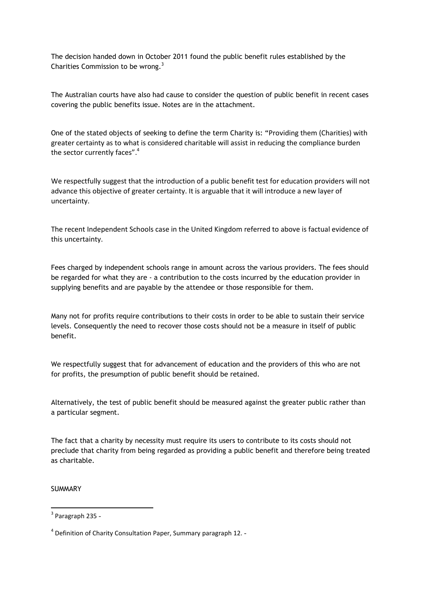The decision handed down in October 2011 found the public benefit rules established by the Charities Commission to be wrong. $3$ 

 The Australian courts have also had cause to consider the question of public benefit in recent cases covering the public benefits issue. Notes are in the attachment.

 One of the stated objects of seeking to define the term Charity is: "Providing them (Charities) with greater certainty as to what is considered charitable will assist in reducing the compliance burden the sector currently faces".<sup>4</sup>

 We respectfully suggest that the introduction of a public benefit test for education providers will not advance this objective of greater certainty. It is arguable that it will introduce a new layer of uncertainty.

 The recent Independent Schools case in the United Kingdom referred to above is factual evidence of this uncertainty.

 Fees charged by independent schools range in amount across the various providers. The fees should be regarded for what they are - a contribution to the costs incurred by the education provider in supplying benefits and are payable by the attendee or those responsible for them.

 Many not for profits require contributions to their costs in order to be able to sustain their service levels. Consequently the need to recover those costs should not be a measure in itself of public benefit.

 We respectfully suggest that for advancement of education and the providers of this who are not for profits, the presumption of public benefit should be retained.

 Alternatively, the test of public benefit should be measured against the greater public rather than a particular segment.

 The fact that a charity by necessity must require its users to contribute to its costs should not preclude that charity from being regarded as providing a public benefit and therefore being treated as charitable.

**SUMMARY** 

l

<sup>&</sup>lt;sup>3</sup> Paragraph 235 -

 $<sup>4</sup>$  Definition of Charity Consultation Paper, Summary paragraph 12. -</sup>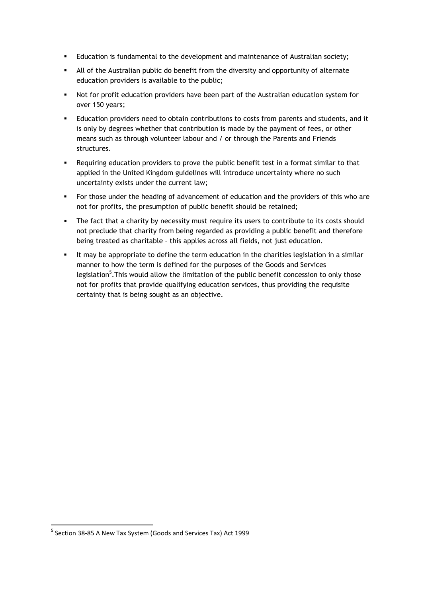- � Education is fundamental to the development and maintenance of Australian society;
- � All of the Australian public do benefit from the diversity and opportunity of alternate education providers is available to the public;
- **•** Not for profit education providers have been part of the Australian education system for over 150 years;
- � Education providers need to obtain contributions to costs from parents and students, and it is only by degrees whether that contribution is made by the payment of fees, or other means such as through volunteer labour and / or through the Parents and Friends structures.
- � Requiring education providers to prove the public benefit test in a format similar to that applied in the United Kingdom guidelines will introduce uncertainty where no such uncertainty exists under the current law;
- � For those under the heading of advancement of education and the providers of this who are not for profits, the presumption of public benefit should be retained;
- The fact that a charity by necessity must require its users to contribute to its costs should not preclude that charity from being regarded as providing a public benefit and therefore being treated as charitable – this applies across all fields, not just education.
- � It may be appropriate to define the term education in the charities legislation in a similar manner to how the term is defined for the purposes of the Goods and Services legislation<sup>5</sup>. This would allow the limitation of the public benefit concession to only those not for profits that provide qualifying education services, thus providing the requisite certainty that is being sought as an objective.

l

 $^5$  Section 38-85 A New Tax System (Goods and Services Tax) Act 1999